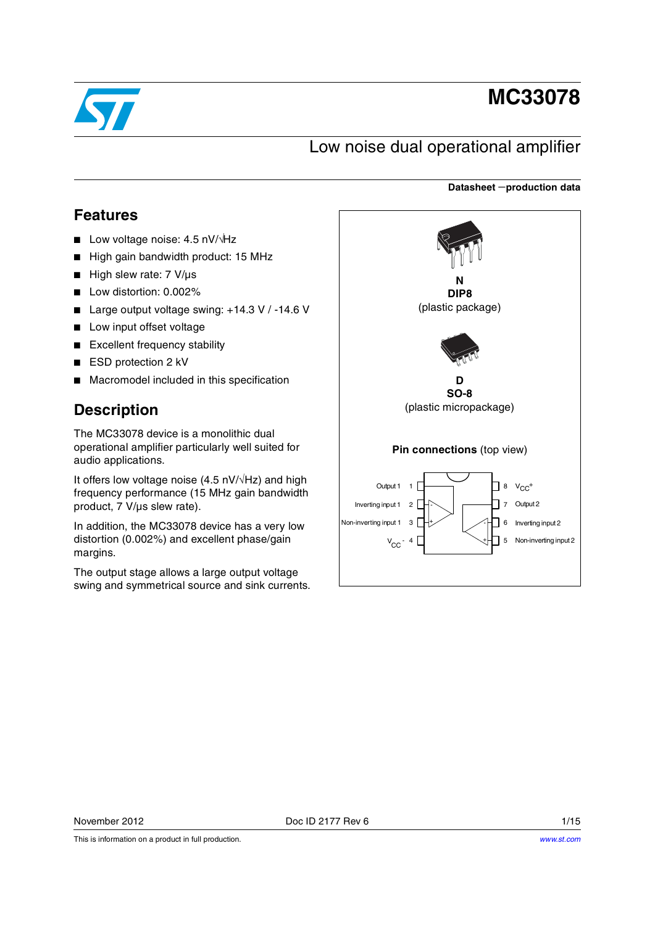

# **MC33078**

## Low noise dual operational amplifier

#### **Datasheet** −**production data**

### **Features**

- Low voltage noise: 4.5 nV/ $\sqrt{Hz}$
- High gain bandwidth product: 15 MHz
- High slew rate: 7 V/µs
- Low distortion: 0.002%
- Large output voltage swing: +14.3 V / -14.6 V
- Low input offset voltage
- Excellent frequency stability
- ESD protection 2 kV
- Macromodel included in this specification

## **Description**

The MC33078 device is a monolithic dual operational amplifier particularly well suited for audio applications.

It offers low voltage noise (4.5 nV/√Hz) and high frequency performance (15 MHz gain bandwidth product, 7 V/µs slew rate).

In addition, the MC33078 device has a very low distortion (0.002%) and excellent phase/gain margins.

The output stage allows a large output voltage swing and symmetrical source and sink currents.



This is information on a product in full production.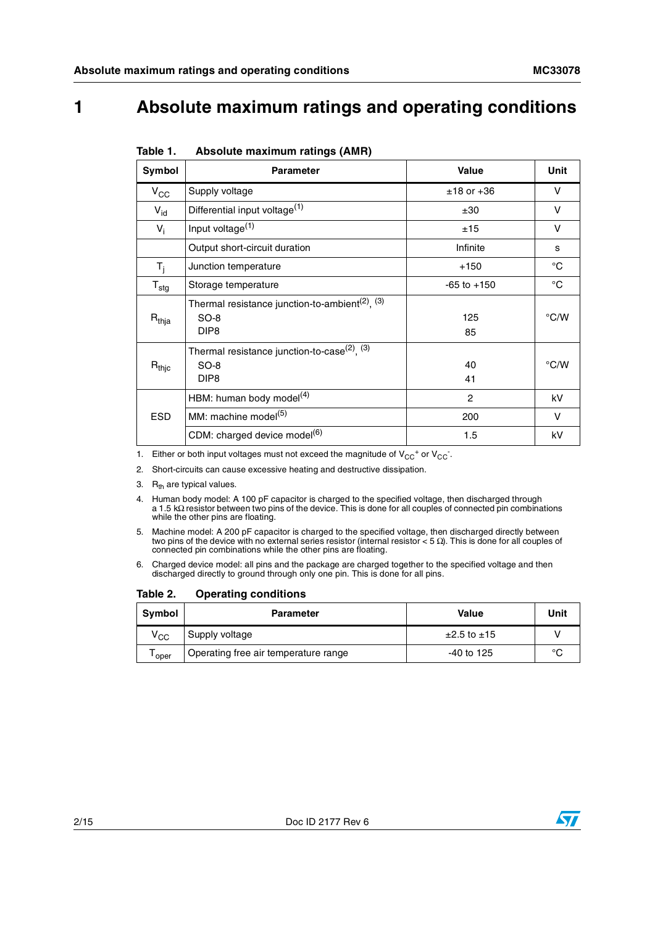## **1 Absolute maximum ratings and operating conditions**

| Symbol              | <b>Parameter</b>                                                                            | <b>Value</b>    | Unit          |
|---------------------|---------------------------------------------------------------------------------------------|-----------------|---------------|
| $V_{\rm CC}$        | Supply voltage                                                                              | $±18$ or $+36$  | V             |
| $V_{\text{id}}$     | Differential input voltage <sup>(1)</sup>                                                   | ±30             | V             |
| $V_i$               | Input voltage <sup>(1)</sup>                                                                | ±15             | V             |
|                     | Output short-circuit duration                                                               | Infinite        | s             |
| $T_{j}$             | Junction temperature                                                                        | $+150$          | $^{\circ}$ C  |
| $T_{\text{stg}}$    | Storage temperature                                                                         | $-65$ to $+150$ | $^{\circ}C$   |
| $R_{thja}$          | Thermal resistance junction-to-ambient <sup>(2)</sup> , $(3)$<br>$SO-8$<br>DIP <sub>8</sub> | 125<br>85       | $\degree$ C/W |
| $R_{\mathsf{thic}}$ | Thermal resistance junction-to-case $^{(2)}$ , $^{(3)}$<br>$SO-8$<br>DIP <sub>8</sub>       | 40<br>41        | $\degree$ C/W |
|                     | HBM: human body model <sup>(4)</sup>                                                        | 2               | kV            |
| <b>ESD</b>          | MM: machine model <sup>(5)</sup>                                                            | 200             | V             |
|                     | CDM: charged device model <sup>(6)</sup>                                                    | 1.5             | kV            |

<span id="page-1-0"></span>1. Either or both input voltages must not exceed the magnitude of  $V_{CC}^+$  or  $V_{CC}^-$ .

- 2. Short-circuits can cause excessive heating and destructive dissipation.
- 3.  $R_{th}$  are typical values.
- 4. Human body model: A 100 pF capacitor is charged to the specified voltage, then discharged through a 1.5 kΩ resistor between two pins of the device. This is done for all couples of connected pin combinations while the other pins are floating.
- 5. Machine model: A 200 pF capacitor is charged to the specified voltage, then discharged directly between<br>two pins of the device with no external series resistor (internal resistor < 5  $\Omega$ ). This is done for all couples
- 6. Charged device model: all pins and the package are charged together to the specified voltage and then discharged directly to ground through only one pin. This is done for all pins.

<span id="page-1-1"></span>Table 2. **Operating conditions** 

| Symbol       | <b>Parameter</b>                     | Value                 | Unit   |
|--------------|--------------------------------------|-----------------------|--------|
| $\rm v_{cc}$ | Supply voltage                       | $\pm 2.5$ to $\pm 15$ |        |
| ' oper       | Operating free air temperature range | $-40$ to 125          | $\sim$ |



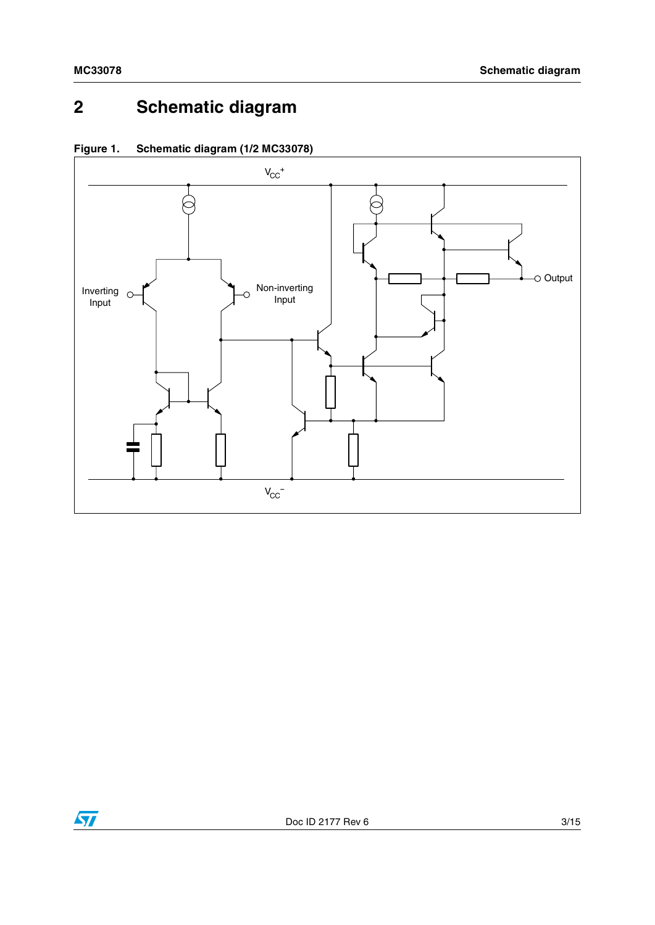## **2 Schematic diagram**



**Figure 1. Schematic diagram (1/2 MC33078)**

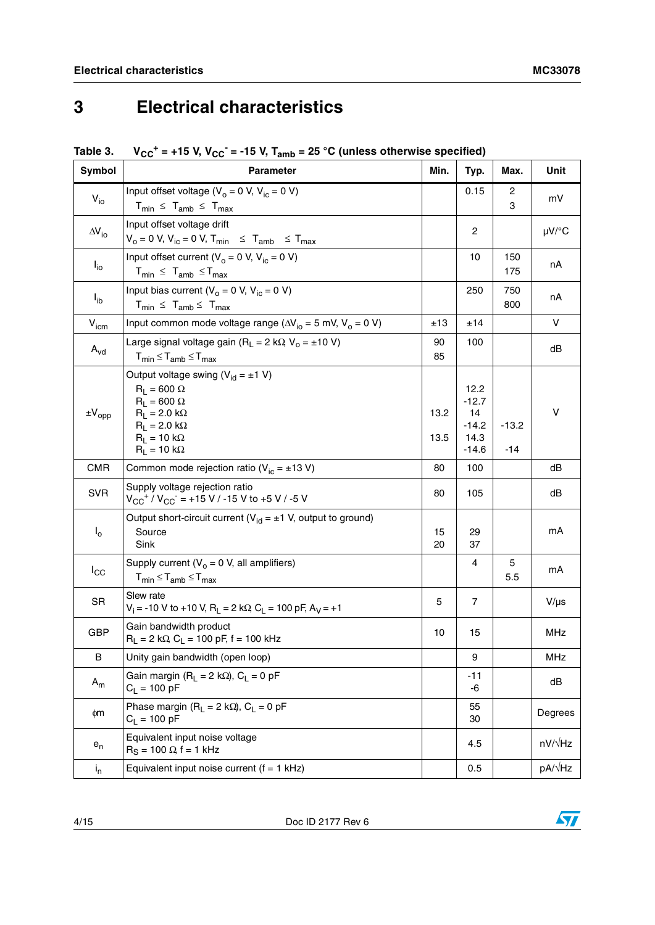## **3 Electrical characteristics**

|  | Table 3. $V_{CC}^+$ = +15 V, V <sub>CC</sub> <sup>-</sup> = -15 V, T <sub>amb</sub> = 25 °C (unless otherwise specified) |  |  |  |
|--|--------------------------------------------------------------------------------------------------------------------------|--|--|--|
|--|--------------------------------------------------------------------------------------------------------------------------|--|--|--|

| Symbol              | <b>Parameter</b>                                                                                                                                                                         | Min.         | Typ.                                                | Max.             | Unit           |
|---------------------|------------------------------------------------------------------------------------------------------------------------------------------------------------------------------------------|--------------|-----------------------------------------------------|------------------|----------------|
| $V_{i0}$            | Input offset voltage ( $V_o = 0$ V, $V_{ic} = 0$ V)<br>$T_{min} \leq T_{amb} \leq T_{max}$                                                                                               |              | 0.15                                                | 2<br>3           | mV             |
| $\Delta V_{\rm io}$ | Input offset voltage drift<br>$V_o = 0$ V, $V_{ic} = 0$ V, $T_{min} \leq T_{amb} \leq T_{max}$                                                                                           |              | 2                                                   |                  | $\mu$ V/°C     |
| $I_{io}$            | Input offset current ( $V_0 = 0$ V, $V_{ic} = 0$ V)<br>$T_{min} \leq T_{amb} \leq T_{max}$                                                                                               |              | 10                                                  | 150<br>175       | nA             |
| $I_{ib}$            | Input bias current ( $V_0 = 0$ V, $V_{ic} = 0$ V)<br>$T_{min} \leq T_{amb} \leq T_{max}$                                                                                                 |              | 250                                                 | 750<br>800       | nA             |
| $V_{icm}$           | Input common mode voltage range ( $\Delta V_{io}$ = 5 mV, V <sub>o</sub> = 0 V)                                                                                                          | ±13          | ±14                                                 |                  | V              |
| $A_{vd}$            | Large signal voltage gain ( $R_L = 2 k\Omega$ , $V_o = \pm 10 V$ )<br>$T_{min} \leq T_{amb} \leq T_{max}$                                                                                | 90<br>85     | 100                                                 |                  | dB             |
| $\pm V_{opp}$       | Output voltage swing ( $V_{id} = \pm 1$ V)<br>$R_1 = 600 \Omega$<br>$R_1 = 600 \Omega$<br>$R_L = 2.0 k\Omega$<br>$R_1 = 2.0 \text{ k}\Omega$<br>$R_1 = 10 k\Omega$<br>$R_L = 10 k\Omega$ | 13.2<br>13.5 | 12.2<br>$-12.7$<br>14<br>$-14.2$<br>14.3<br>$-14.6$ | $-13.2$<br>$-14$ | $\vee$         |
| <b>CMR</b>          | Common mode rejection ratio ( $V_{ic} = \pm 13 V$ )                                                                                                                                      | 80           | 100                                                 |                  | dΒ             |
| <b>SVR</b>          | Supply voltage rejection ratio<br>$V_{CC}$ <sup>+</sup> / $V_{CC}$ = +15 V / -15 V to +5 V / -5 V                                                                                        | 80           | 105                                                 |                  | dΒ             |
| $I_{\rm o}$         | Output short-circuit current ( $V_{id} = \pm 1$ V, output to ground)<br>Source<br>Sink                                                                                                   | 15<br>20     | 29<br>37                                            |                  | mA             |
| $I_{\rm CC}$        | Supply current ( $V_0 = 0$ V, all amplifiers)<br>$T_{min} \leq T_{amb} \leq T_{max}$                                                                                                     |              | 4                                                   | 5<br>5.5         | mA             |
| SR                  | Slew rate<br>$V_i = -10$ V to +10 V, R <sub>L</sub> = 2 k $\Omega$ , C <sub>L</sub> = 100 pF, A <sub>V</sub> = +1                                                                        | 5            | $\overline{7}$                                      |                  | $V/\mu s$      |
| GBP                 | Gain bandwidth product<br>$R_1 = 2 k\Omega$ , $C_1 = 100 pF$ , f = 100 kHz                                                                                                               | 10           | 15                                                  |                  | MHz            |
| B                   | Unity gain bandwidth (open loop)                                                                                                                                                         |              | 9                                                   |                  | MHz            |
| $A_m$               | Gain margin (R <sub>I</sub> = 2 k $\Omega$ ), C <sub>I</sub> = 0 pF<br>$C_1 = 100 pF$                                                                                                    |              | $-11$<br>-6                                         |                  | dB             |
| фm                  | Phase margin ( $R_L = 2 k\Omega$ ), $C_L = 0 pF$<br>$C_1 = 100 pF$                                                                                                                       |              | 55<br>30                                            |                  | Degrees        |
| $e_n$               | Equivalent input noise voltage<br>$R_S = 100 \Omega$ , f = 1 kHz                                                                                                                         |              | 4.5                                                 |                  | $nV/\sqrt{Hz}$ |
| $i_{n}$             | Equivalent input noise current $(f = 1$ kHz)                                                                                                                                             |              | 0.5                                                 |                  | pA/√Hz         |

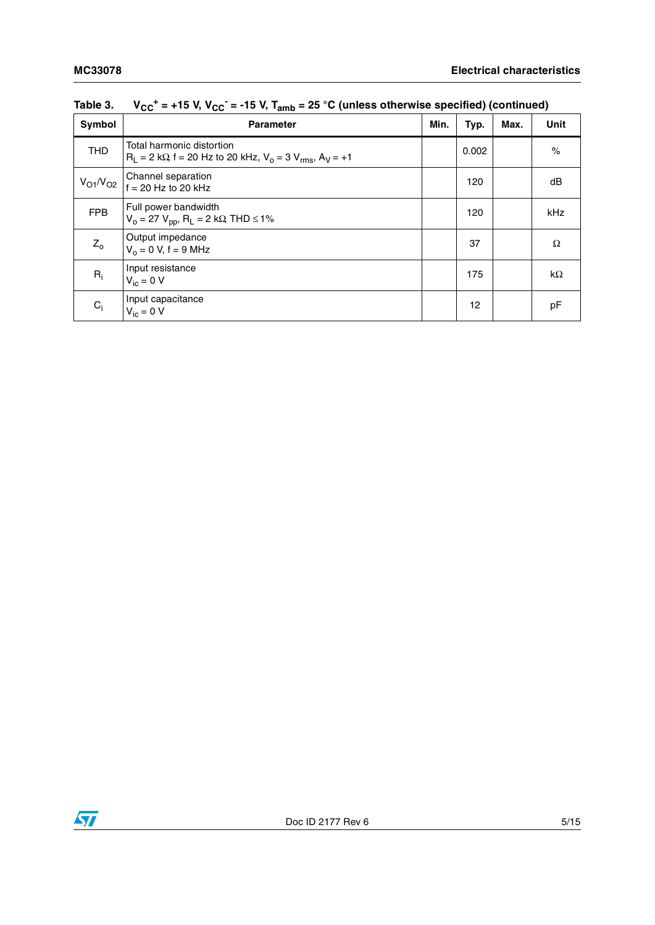| Symbol                           | <b>Parameter</b>                                                                                     | Min. | Typ.  | Max. | <b>Unit</b>        |
|----------------------------------|------------------------------------------------------------------------------------------------------|------|-------|------|--------------------|
| <b>THD</b>                       | Total harmonic distortion<br>$R_1 = 2 k\Omega$ , f = 20 Hz to 20 kHz, $V_0 = 3 V_{rms}$ , $A_V = +1$ |      | 0.002 |      | $\frac{1}{\alpha}$ |
| V <sub>O1</sub> /V <sub>O2</sub> | Channel separation<br>$f = 20$ Hz to 20 kHz                                                          |      | 120   |      | dB                 |
| <b>FPB</b>                       | Full power bandwidth<br>$V_0 = 27 V_{DD}$ , R <sub>L</sub> = 2 kΩ, THD ≤ 1%                          |      | 120   |      | kHz                |
| $Z_0$                            | Output impedance<br>$V_0 = 0 V$ , f = 9 MHz                                                          |      | 37    |      | Ω                  |
| $R_i$                            | Input resistance<br>$V_{\text{ic}} = 0 V$                                                            |      | 175   |      | $k\Omega$          |
| $C_i$                            | Input capacitance<br>$V_{\text{ic}} = 0$ V                                                           |      | 12    |      | рF                 |

Table 3. V<sub>CC</sub><sup>+</sup> = +15 V, V<sub>CC</sub><sup>-</sup> = -15 V, T<sub>amb</sub> = 25 °C (unless otherwise specified) (continued)

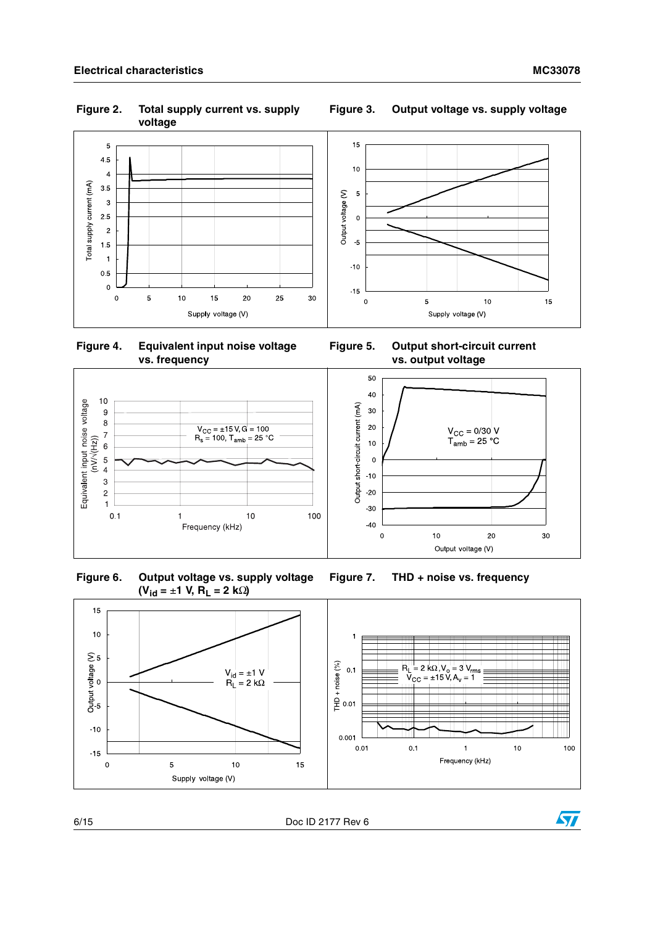**Figure 2. Total supply current vs. supply voltage**



 **Figure 4. Equivalent input noise voltage vs. frequency**



<span id="page-5-0"></span>





**Figure 3. Output voltage vs. supply voltage**



**Figure 5. Output short-circuit current vs. output voltage** 





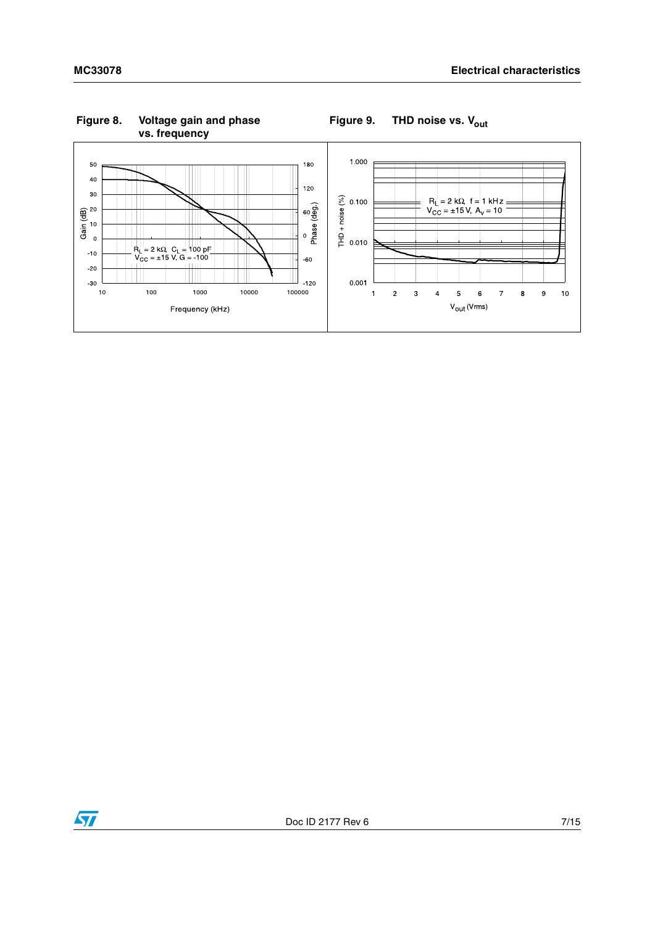

**Figure 8. Voltage gain and phase vs. frequency**



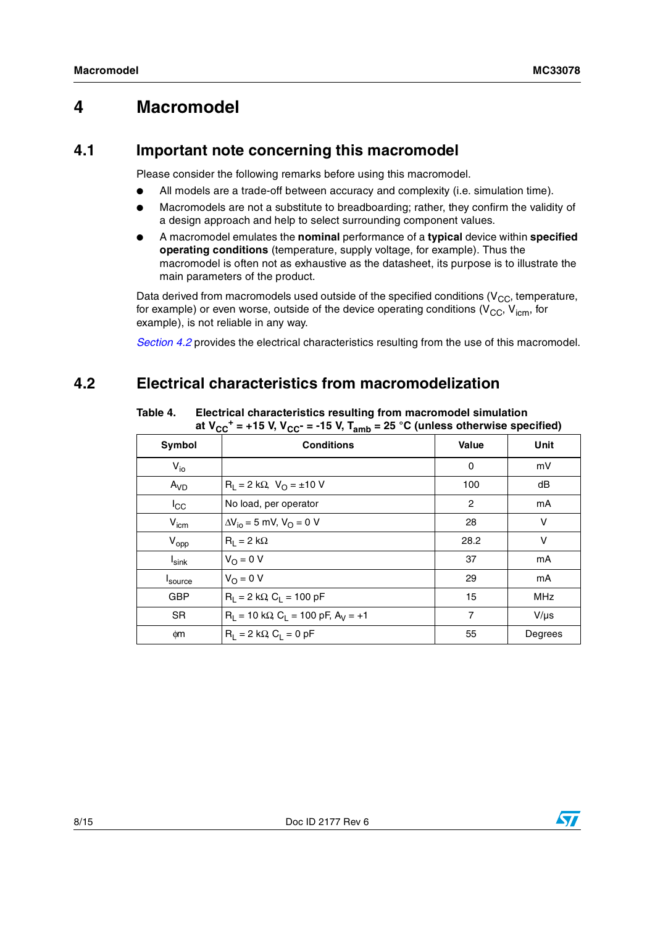### **4 Macromodel**

#### **4.1 Important note concerning this macromodel**

Please consider the following remarks before using this macromodel.

- All models are a trade-off between accuracy and complexity (i.e. simulation time).
- Macromodels are not a substitute to breadboarding; rather, they confirm the validity of a design approach and help to select surrounding component values.
- A macromodel emulates the **nominal** performance of a **typical** device within **specified operating conditions** (temperature, supply voltage, for example). Thus the macromodel is often not as exhaustive as the datasheet, its purpose is to illustrate the main parameters of the product.

Data derived from macromodels used outside of the specified conditions ( $V_{CC}$ , temperature, for example) or even worse, outside of the device operating conditions ( $V_{CC}$ ,  $V_{icm}$ , for example), is not reliable in any way.

*[Section 4.2](#page-7-0)* provides the electrical characteristics resulting from the use of this macromodel.

### <span id="page-7-0"></span>**4.2 Electrical characteristics from macromodelization**

| Symbol              | <b>Conditions</b>                                | Value          | Unit       |
|---------------------|--------------------------------------------------|----------------|------------|
| $V_{io}$            |                                                  | 0              | mV         |
| A <sub>VD</sub>     | $R_L = 2 k\Omega$ , $V_O = \pm 10 V$             | 100            | dB         |
| $I_{\rm CC}$        | No load, per operator                            | $\overline{2}$ | mA         |
| V <sub>icm</sub>    | $\Delta V_{io} = 5$ mV, $V_{O} = 0$ V            | 28             | $\vee$     |
| $V_{opp}$           | $R_1 = 2 k\Omega$                                | 28.2           | v          |
| $I_{\textsf{sink}}$ | $V_O = 0 V$                                      | 37             | mA         |
| I <sub>source</sub> | $V_O = 0 V$                                      | 29             | mA         |
| <b>GBP</b>          | $R_1 = 2 k\Omega$ , $C_1 = 100 pF$               | 15             | <b>MHz</b> |
| <b>SR</b>           | $R_1 = 10 k\Omega$ , $C_1 = 100 pF$ , $A_V = +1$ | 7              | $V/\mu s$  |
| фm                  | $R_1 = 2 k\Omega$ , $C_1 = 0 pF$                 | 55             | Degrees    |

Table 4. **Electrical characteristics resulting from macromodel simulation** at  $V_{CC}$ <sup>+</sup> = +15 V, V<sub>CC</sub>- = -15 V, T<sub>amb</sub> = 25 °C (unless otherwise specified)

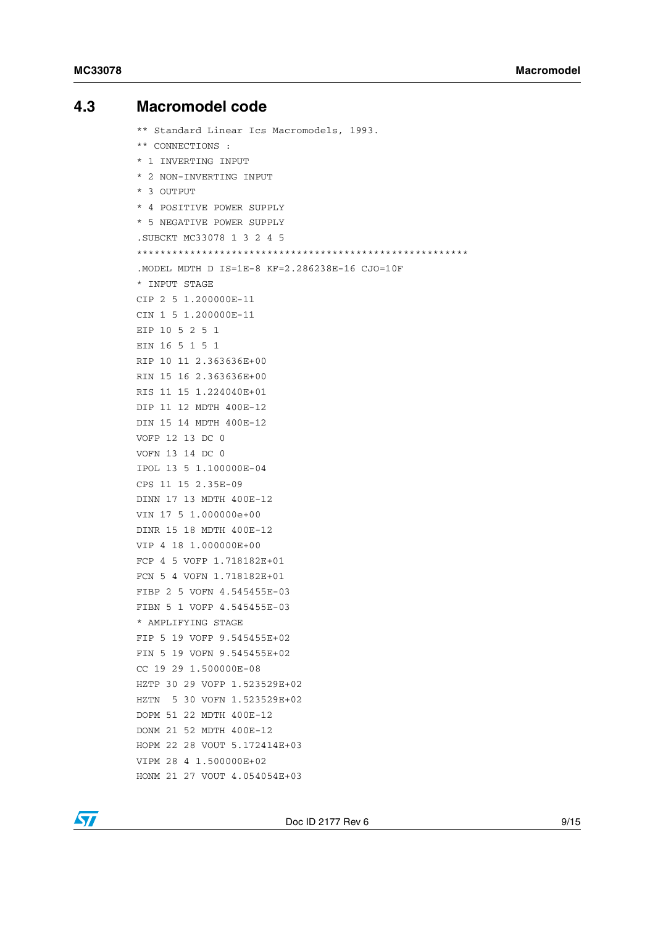#### <span id="page-8-0"></span>**4.3 Macromodel code**

\*\* Standard Linear Ics Macromodels, 1993. \*\* CONNECTIONS : \* 1 INVERTING INPUT \* 2 NON-INVERTING INPUT \* 3 OUTPUT \* 4 POSITIVE POWER SUPPLY \* 5 NEGATIVE POWER SUPPLY .SUBCKT MC33078 1 3 2 4 5 \*\*\*\*\*\*\*\*\*\*\*\*\*\*\*\*\*\*\*\*\*\*\*\*\*\*\*\*\*\*\*\*\*\*\*\*\*\*\*\*\*\*\*\*\*\*\*\*\*\*\*\*\*\*\*\* .MODEL MDTH D IS=1E-8 KF=2.286238E-16 CJO=10F \* INPUT STAGE CIP 2 5 1.200000E-11 CIN 1 5 1.200000E-11 EIP 10 5 2 5 1 EIN 16 5 1 5 1 RIP 10 11 2.363636E+00 RIN 15 16 2.363636E+00 RIS 11 15 1.224040E+01 DIP 11 12 MDTH 400E-12 DIN 15 14 MDTH 400E-12 VOFP 12 13 DC 0 VOFN 13 14 DC 0 IPOL 13 5 1.100000E-04 CPS 11 15 2.35E-09 DINN 17 13 MDTH 400E-12 VIN 17 5 1.000000e+00 DINR 15 18 MDTH 400E-12 VIP 4 18 1.000000E+00 FCP 4 5 VOFP 1.718182E+01 FCN 5 4 VOFN 1.718182E+01 FIBP 2 5 VOFN 4.545455E-03 FIBN 5 1 VOFP 4.545455E-03 \* AMPLIFYING STAGE FIP 5 19 VOFP 9.545455E+02 FIN 5 19 VOFN 9.545455E+02 CC 19 29 1.500000E-08 HZTP 30 29 VOFP 1.523529E+02 HZTN 5 30 VOFN 1.523529E+02 DOPM 51 22 MDTH 400E-12 DONM 21 52 MDTH 400E-12 HOPM 22 28 VOUT 5.172414E+03 VIPM 28 4 1.500000E+02 HONM 21 27 VOUT 4.054054E+03

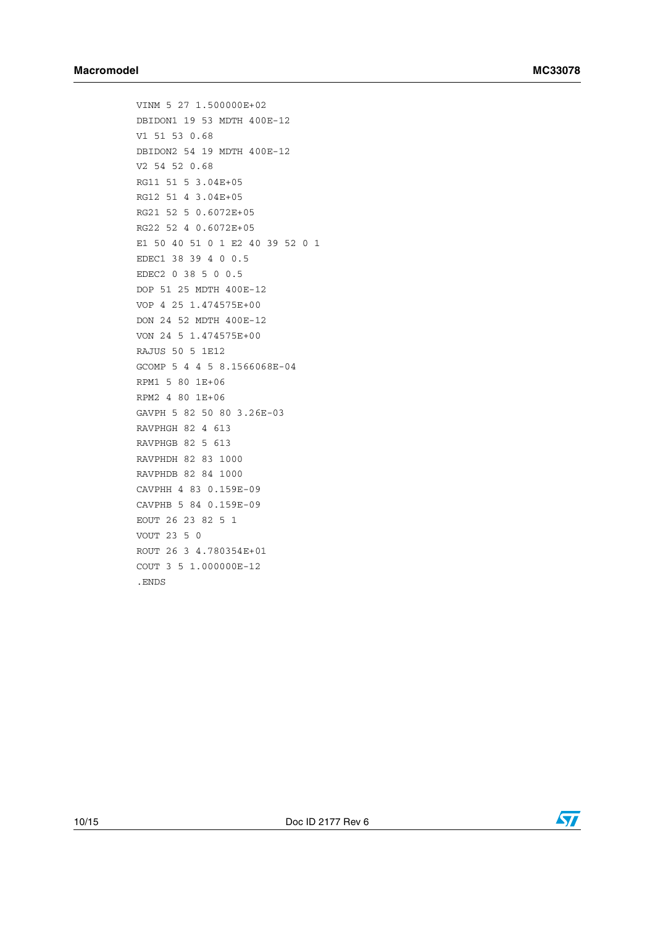VINM 5 27 1.500000E+02 DBIDON1 19 53 MDTH 400E-12 V1 51 53 0.68 DBIDON2 54 19 MDTH 400E-12 V2 54 52 0.68 RG11 51 5 3.04E+05 RG12 51 4 3.04E+05 RG21 52 5 0.6072E+05 RG22 52 4 0.6072E+05 E1 50 40 51 0 1 E2 40 39 52 0 1 EDEC1 38 39 4 0 0.5 EDEC2 0 38 5 0 0.5 DOP 51 25 MDTH 400E-12 VOP 4 25 1.474575E+00 DON 24 52 MDTH 400E-12 VON 24 5 1.474575E+00 RAJUS 50 5 1E12 GCOMP 5 4 4 5 8.1566068E-04 RPM1 5 80 1E+06 RPM2 4 80 1E+06 GAVPH 5 82 50 80 3.26E-03 RAVPHGH 82 4 613 RAVPHGB 82 5 613 RAVPHDH 82 83 1000 RAVPHDB 82 84 1000 CAVPHH 4 83 0.159E-09 CAVPHB 5 84 0.159E-09 EOUT 26 23 82 5 1 VOUT 23 5 0 ROUT 26 3 4.780354E+01 COUT 3 5 1.000000E-12 .ENDS



10/15 Doc ID 2177 Rev 6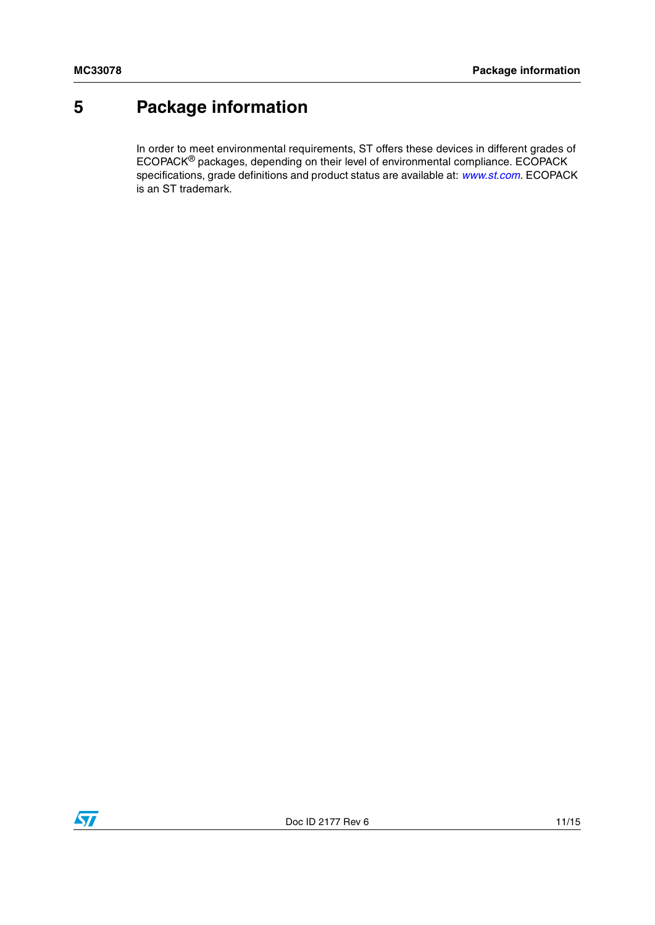## <span id="page-10-0"></span>**5 Package information**

In order to meet environmental requirements, ST offers these devices in different grades of ECOPACK® packages, depending on their level of environmental compliance. ECOPACK specifications, grade definitions and product status are available at: *[www.st.com](http://www.st.com)*. ECOPACK is an ST trademark.

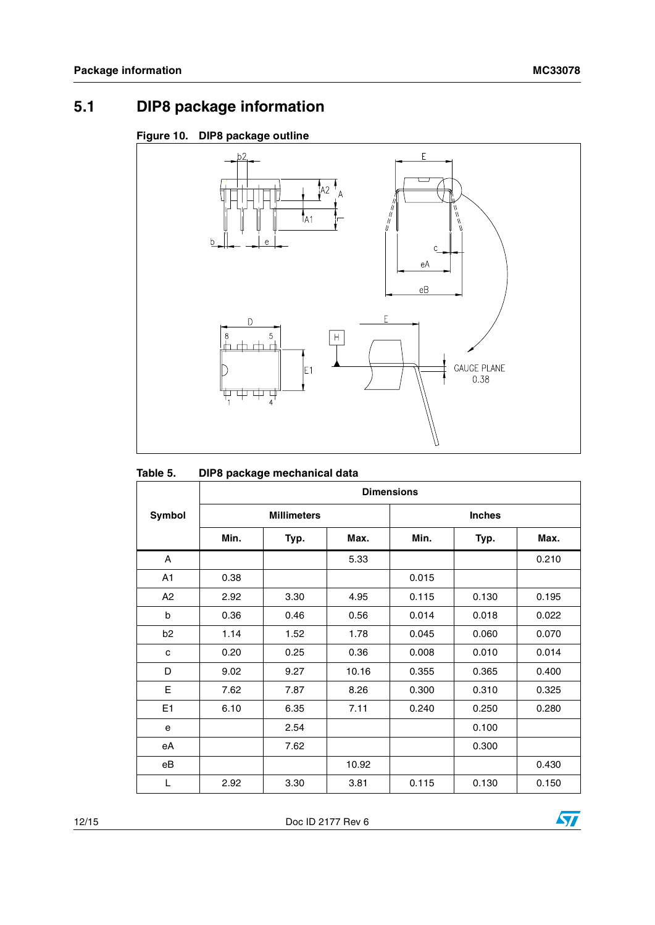## **5.1 DIP8 package information**

#### **Figure 10. DIP8 package outline**



| Table 5. |  | DIP8 package mechanical data |
|----------|--|------------------------------|
|----------|--|------------------------------|

|                | <b>Dimensions</b> |                    |       |       |               |       |  |
|----------------|-------------------|--------------------|-------|-------|---------------|-------|--|
| Symbol         |                   | <b>Millimeters</b> |       |       | <b>Inches</b> |       |  |
|                | Min.              | Typ.               | Max.  | Min.  | Typ.          | Max.  |  |
| A              |                   |                    | 5.33  |       |               | 0.210 |  |
| A <sub>1</sub> | 0.38              |                    |       | 0.015 |               |       |  |
| A2             | 2.92              | 3.30               | 4.95  | 0.115 | 0.130         | 0.195 |  |
| b              | 0.36              | 0.46               | 0.56  | 0.014 | 0.018         | 0.022 |  |
| b <sub>2</sub> | 1.14              | 1.52               | 1.78  | 0.045 | 0.060         | 0.070 |  |
| c              | 0.20              | 0.25               | 0.36  | 0.008 | 0.010         | 0.014 |  |
| D              | 9.02              | 9.27               | 10.16 | 0.355 | 0.365         | 0.400 |  |
| Е              | 7.62              | 7.87               | 8.26  | 0.300 | 0.310         | 0.325 |  |
| E <sub>1</sub> | 6.10              | 6.35               | 7.11  | 0.240 | 0.250         | 0.280 |  |
| e              |                   | 2.54               |       |       | 0.100         |       |  |
| еA             |                   | 7.62               |       |       | 0.300         |       |  |
| eB             |                   |                    | 10.92 |       |               | 0.430 |  |
| L              | 2.92              | 3.30               | 3.81  | 0.115 | 0.130         | 0.150 |  |

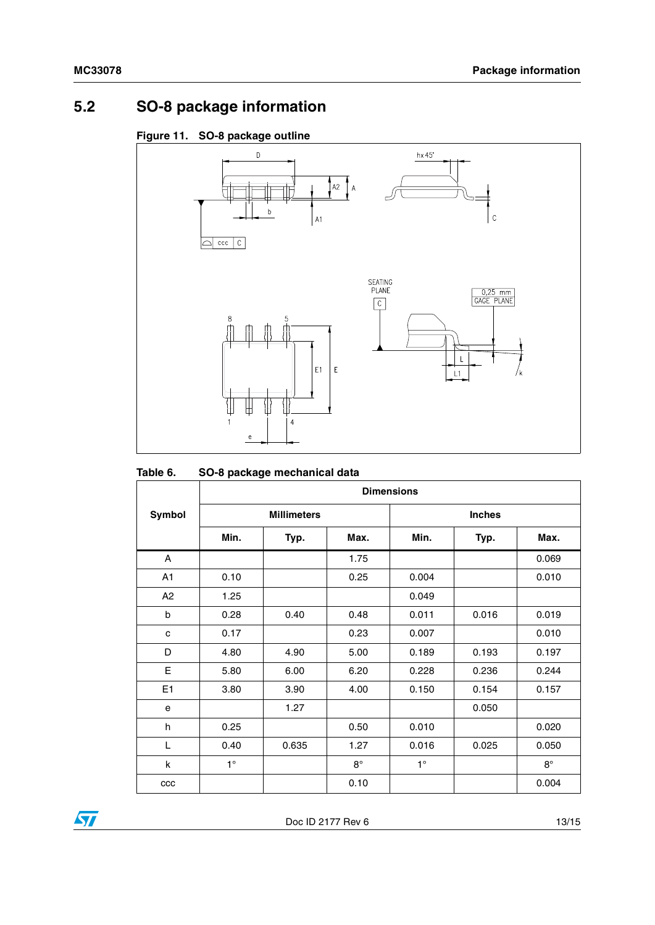## **5.2 SO-8 package information**

#### **Figure 11. SO-8 package outline**



#### <span id="page-12-0"></span>**Table 6. SO-8 package mechanical data**

|                | <b>Dimensions</b> |                    |             |             |               |           |  |
|----------------|-------------------|--------------------|-------------|-------------|---------------|-----------|--|
| <b>Symbol</b>  |                   | <b>Millimeters</b> |             |             | <b>Inches</b> |           |  |
|                | Min.              | Typ.               | Max.        | Min.        | Typ.          | Max.      |  |
| A              |                   |                    | 1.75        |             |               | 0.069     |  |
| A <sub>1</sub> | 0.10              |                    | 0.25        | 0.004       |               | 0.010     |  |
| A2             | 1.25              |                    |             | 0.049       |               |           |  |
| b              | 0.28              | 0.40               | 0.48        | 0.011       | 0.016         | 0.019     |  |
| c              | 0.17              |                    | 0.23        | 0.007       |               | 0.010     |  |
| D              | 4.80              | 4.90               | 5.00        | 0.189       | 0.193         | 0.197     |  |
| Е              | 5.80              | 6.00               | 6.20        | 0.228       | 0.236         | 0.244     |  |
| E <sub>1</sub> | 3.80              | 3.90               | 4.00        | 0.150       | 0.154         | 0.157     |  |
| e              |                   | 1.27               |             |             | 0.050         |           |  |
| h              | 0.25              |                    | 0.50        | 0.010       |               | 0.020     |  |
| L              | 0.40              | 0.635              | 1.27        | 0.016       | 0.025         | 0.050     |  |
| k              | $1^{\circ}$       |                    | $8^{\circ}$ | $1^{\circ}$ |               | $8^\circ$ |  |
| ccc            |                   |                    | 0.10        |             |               | 0.004     |  |



Doc ID 2177 Rev 6 13/15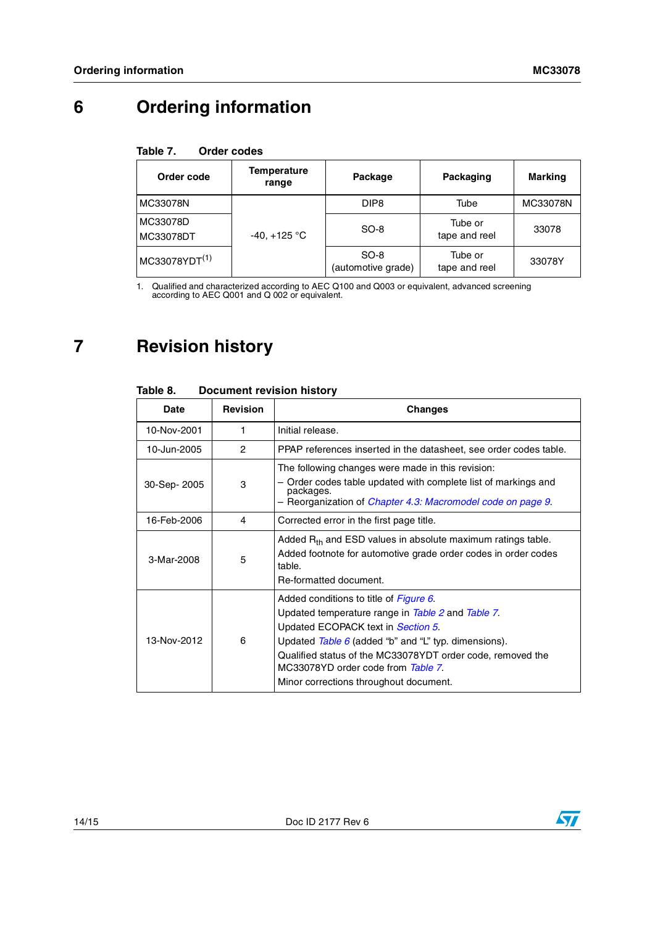## **6 Ordering information**

#### <span id="page-13-0"></span>Table 7. **Order codes**

| Order code                | <b>Temperature</b><br>range | Package                      | Packaging                | Marking  |
|---------------------------|-----------------------------|------------------------------|--------------------------|----------|
| MC33078N                  |                             | DIP <sub>8</sub>             | Tube                     | MC33078N |
| MC33078D<br>MC33078DT     | $-40, +125$ °C              | SO-8                         | Tube or<br>tape and reel | 33078    |
| MC33078YDT <sup>(1)</sup> |                             | $SO-8$<br>(automotive grade) | Tube or<br>tape and reel | 33078Y   |

1. Qualified and characterized according to AEC Q100 and Q003 or equivalent, advanced screening according to AEC Q001 and Q 002 or equivalent.

## **7 Revision history**

| Date        | <b>Revision</b> | Changes                                                                                                                                                                                                                                                                                                                                   |  |  |
|-------------|-----------------|-------------------------------------------------------------------------------------------------------------------------------------------------------------------------------------------------------------------------------------------------------------------------------------------------------------------------------------------|--|--|
| 10-Nov-2001 | 1               | Initial release.                                                                                                                                                                                                                                                                                                                          |  |  |
| 10-Jun-2005 | 2               | PPAP references inserted in the datasheet, see order codes table.                                                                                                                                                                                                                                                                         |  |  |
| 30-Sep-2005 | 3               | The following changes were made in this revision:<br>Order codes table updated with complete list of markings and<br>packages.<br>- Reorganization of Chapter 4.3: Macromodel code on page 9.                                                                                                                                             |  |  |
| 16-Feb-2006 | 4               | Corrected error in the first page title.                                                                                                                                                                                                                                                                                                  |  |  |
| 3-Mar-2008  | 5               | Added $R_{th}$ and ESD values in absolute maximum ratings table.<br>Added footnote for automotive grade order codes in order codes<br>table.<br>Re-formatted document.                                                                                                                                                                    |  |  |
| 13-Nov-2012 | 6               | Added conditions to title of Figure 6.<br>Updated temperature range in Table 2 and Table 7.<br>Updated ECOPACK text in Section 5.<br>Updated $Table 6$ (added "b" and "L" typ. dimensions).<br>Qualified status of the MC33078YDT order code, removed the<br>MC33078YD order code from Table 7.<br>Minor corrections throughout document. |  |  |

#### Table 8. **Document revision history**